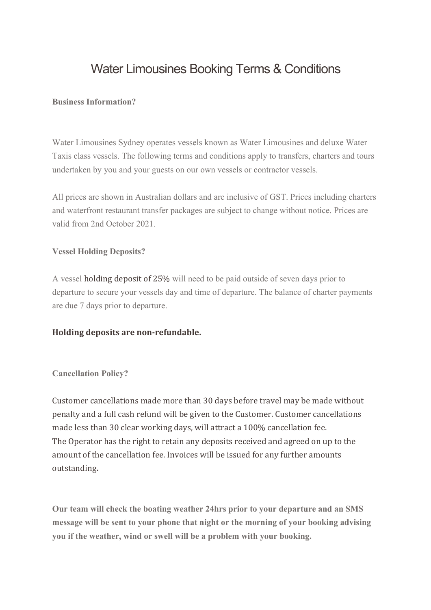# Water Limousines Booking Terms & Conditions

#### **Business Information?**

Water Limousines Sydney operates vessels known as Water Limousines and deluxe Water Taxis class vessels. The following terms and conditions apply to transfers, charters and tours undertaken by you and your guests on our own vessels or contractor vessels.

All prices are shown in Australian dollars and are inclusive of GST. Prices including charters and waterfront restaurant transfer packages are subject to change without notice. Prices are valid from 2nd October 2021.

#### **Vessel Holding Deposits?**

A vessel holding deposit of 25% will need to be paid outside of seven days prior to departure to secure your vessels day and time of departure. The balance of charter payments are due 7 days prior to departure.

#### **Holding deposits are non-refundable.**

#### **Cancellation Policy?**

Customer cancellations made more than 30 days before travel may be made without penalty and a full cash refund will be given to the Customer. Customer cancellations made less than 30 clear working days, will attract a 100% cancellation fee. The Operator has the right to retain any deposits received and agreed on up to the amount of the cancellation fee. Invoices will be issued for any further amounts outstanding**.**

**Our team will check the boating weather 24hrs prior to your departure and an SMS message will be sent to your phone that night or the morning of your booking advising you if the weather, wind or swell will be a problem with your booking.**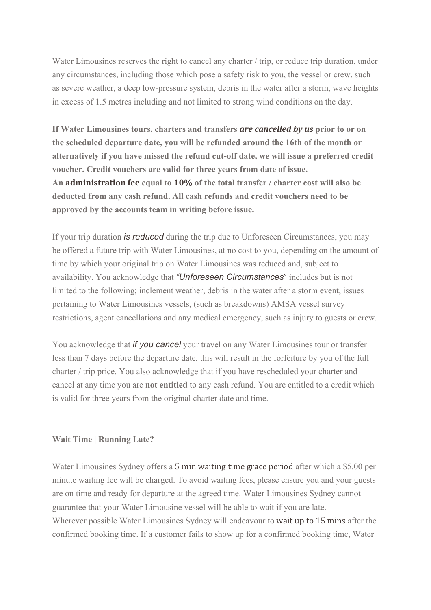Water Limousines reserves the right to cancel any charter / trip, or reduce trip duration, under any circumstances, including those which pose a safety risk to you, the vessel or crew, such as severe weather, a deep low-pressure system, debris in the water after a storm, wave heights in excess of 1.5 metres including and not limited to strong wind conditions on the day.

**If Water Limousines tours, charters and transfers** *are cancelled by us* **prior to or on the scheduled departure date, you will be refunded around the 16th of the month or alternatively if you have missed the refund cut-off date, we will issue a preferred credit voucher. Credit vouchers are valid for three years from date of issue. An administration fee equal to 10% of the total transfer / charter cost will also be deducted from any cash refund. All cash refunds and credit vouchers need to be approved by the accounts team in writing before issue.**

If your trip duration *is reduced* during the trip due to Unforeseen Circumstances, you may be offered a future trip with Water Limousines, at no cost to you, depending on the amount of time by which your original trip on Water Limousines was reduced and, subject to availability. You acknowledge that *"Unforeseen Circumstances*" includes but is not limited to the following; inclement weather, debris in the water after a storm event, issues pertaining to Water Limousines vessels, (such as breakdowns) AMSA vessel survey restrictions, agent cancellations and any medical emergency, such as injury to guests or crew.

You acknowledge that *if you cancel* your travel on any Water Limousines tour or transfer less than 7 days before the departure date, this will result in the forfeiture by you of the full charter / trip price. You also acknowledge that if you have rescheduled your charter and cancel at any time you are **not entitled** to any cash refund. You are entitled to a credit which is valid for three years from the original charter date and time.

#### **Wait Time | Running Late?**

Water Limousines Sydney offers a 5 min waiting time grace period after which a \$5.00 per minute waiting fee will be charged. To avoid waiting fees, please ensure you and your guests are on time and ready for departure at the agreed time. Water Limousines Sydney cannot guarantee that your Water Limousine vessel will be able to wait if you are late. Wherever possible Water Limousines Sydney will endeavour to wait up to 15 mins after the confirmed booking time. If a customer fails to show up for a confirmed booking time, Water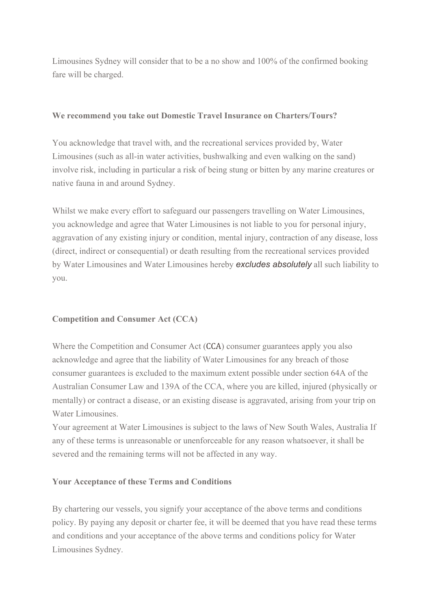Limousines Sydney will consider that to be a no show and 100% of the confirmed booking fare will be charged.

### **We recommend you take out Domestic Travel Insurance on Charters/Tours?**

You acknowledge that travel with, and the recreational services provided by, Water Limousines (such as all-in water activities, bushwalking and even walking on the sand) involve risk, including in particular a risk of being stung or bitten by any marine creatures or native fauna in and around Sydney.

Whilst we make every effort to safeguard our passengers travelling on Water Limousines, you acknowledge and agree that Water Limousines is not liable to you for personal injury, aggravation of any existing injury or condition, mental injury, contraction of any disease, loss (direct, indirect or consequential) or death resulting from the recreational services provided by Water Limousines and Water Limousines hereby *excludes absolutely* all such liability to you.

## **Competition and Consumer Act (CCA)**

Where the Competition and Consumer Act (CCA) consumer guarantees apply you also acknowledge and agree that the liability of Water Limousines for any breach of those consumer guarantees is excluded to the maximum extent possible under section 64A of the Australian Consumer Law and 139A of the CCA, where you are killed, injured (physically or mentally) or contract a disease, or an existing disease is aggravated, arising from your trip on Water Limousines.

Your agreement at Water Limousines is subject to the laws of New South Wales, Australia If any of these terms is unreasonable or unenforceable for any reason whatsoever, it shall be severed and the remaining terms will not be affected in any way.

## **Your Acceptance of these Terms and Conditions**

By chartering our vessels, you signify your acceptance of the above terms and conditions policy. By paying any deposit or charter fee, it will be deemed that you have read these terms and conditions and your acceptance of the above terms and conditions policy for Water Limousines Sydney.